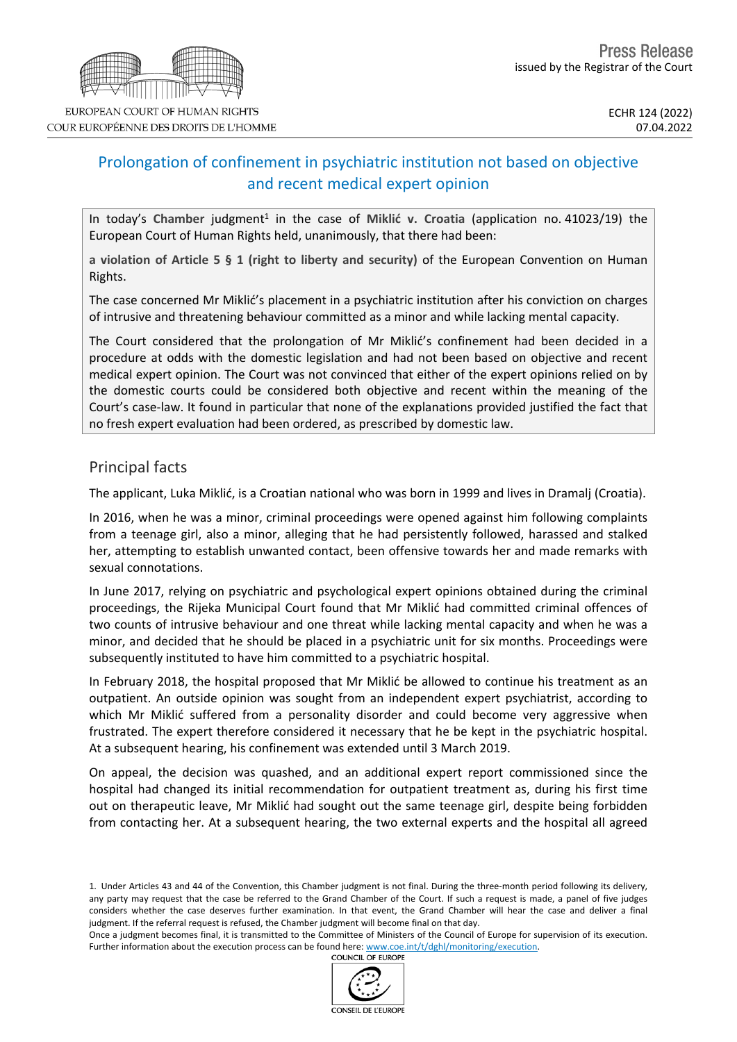

# Prolongation of confinement in psychiatric institution not based on objective and recent medical expert opinion

In today's Chamber judgment<sup>1</sup> in the case of Miklić v. Croatia (application no. 41023/19) the European Court of Human Rights held, unanimously, that there had been:

**a violation of Article 5 § 1 (right to liberty and security)** of the European Convention on Human Rights.

The case concerned Mr Miklić's placement in a psychiatric institution after his conviction on charges of intrusive and threatening behaviour committed as a minor and while lacking mental capacity.

The Court considered that the prolongation of Mr Miklić's confinement had been decided in a procedure at odds with the domestic legislation and had not been based on objective and recent medical expert opinion. The Court was not convinced that either of the expert opinions relied on by the domestic courts could be considered both objective and recent within the meaning of the Court's case-law. It found in particular that none of the explanations provided justified the fact that no fresh expert evaluation had been ordered, as prescribed by domestic law.

# Principal facts

The applicant, Luka Miklić, is a Croatian national who was born in 1999 and lives in Dramalj (Croatia).

In 2016, when he was a minor, criminal proceedings were opened against him following complaints from a teenage girl, also a minor, alleging that he had persistently followed, harassed and stalked her, attempting to establish unwanted contact, been offensive towards her and made remarks with sexual connotations.

In June 2017, relying on psychiatric and psychological expert opinions obtained during the criminal proceedings, the Rijeka Municipal Court found that Mr Miklić had committed criminal offences of two counts of intrusive behaviour and one threat while lacking mental capacity and when he was a minor, and decided that he should be placed in a psychiatric unit for six months. Proceedings were subsequently instituted to have him committed to a psychiatric hospital.

In February 2018, the hospital proposed that Mr Miklić be allowed to continue his treatment as an outpatient. An outside opinion was sought from an independent expert psychiatrist, according to which Mr Miklić suffered from a personality disorder and could become very aggressive when frustrated. The expert therefore considered it necessary that he be kept in the psychiatric hospital. At a subsequent hearing, his confinement was extended until 3 March 2019.

On appeal, the decision was quashed, and an additional expert report commissioned since the hospital had changed its initial recommendation for outpatient treatment as, during his first time out on therapeutic leave, Mr Miklić had sought out the same teenage girl, despite being forbidden from contacting her. At a subsequent hearing, the two external experts and the hospital all agreed

Once a judgment becomes final, it is transmitted to the Committee of Ministers of the Council of Europe for supervision of its execution. Further information about the execution process can be found here: [www.coe.int/t/dghl/monitoring/execution](http://www.coe.int/t/dghl/monitoring/execution). **COUNCIL OF EUROPE** 



<sup>1.</sup> Under Articles 43 and 44 of the Convention, this Chamber judgment is not final. During the three-month period following its delivery, any party may request that the case be referred to the Grand Chamber of the Court. If such a request is made, a panel of five judges considers whether the case deserves further examination. In that event, the Grand Chamber will hear the case and deliver a final judgment. If the referral request is refused, the Chamber judgment will become final on that day.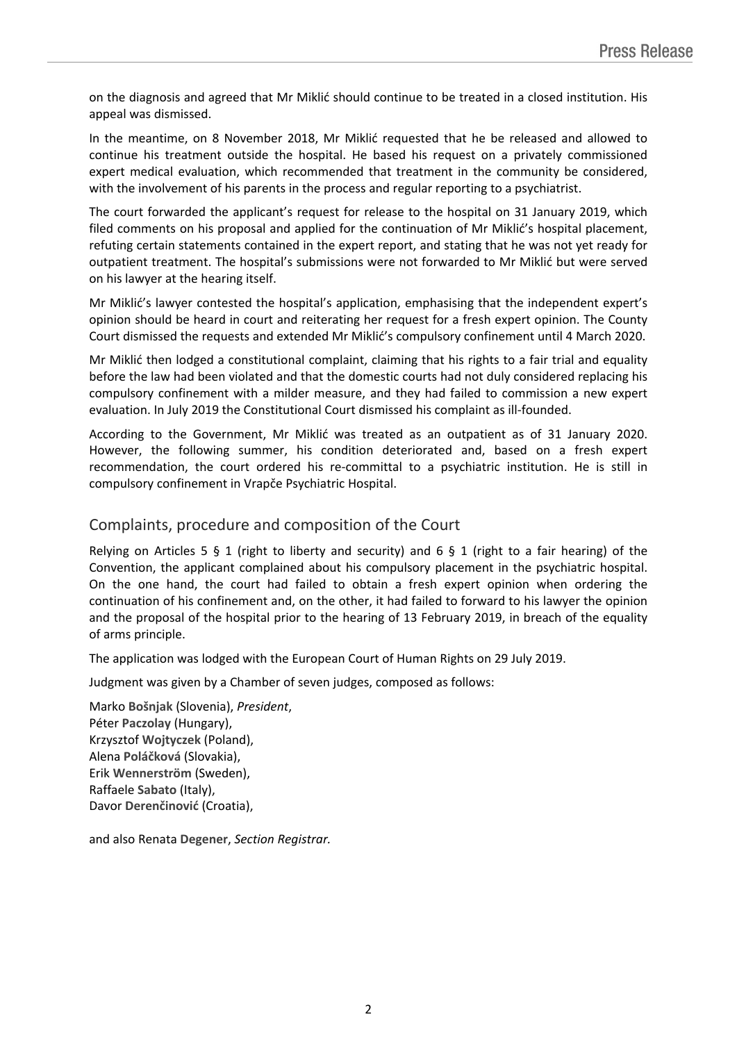on the diagnosis and agreed that Mr Miklić should continue to be treated in a closed institution. His appeal was dismissed.

In the meantime, on 8 November 2018, Mr Miklić requested that he be released and allowed to continue his treatment outside the hospital. He based his request on a privately commissioned expert medical evaluation, which recommended that treatment in the community be considered, with the involvement of his parents in the process and regular reporting to a psychiatrist.

The court forwarded the applicant's request for release to the hospital on 31 January 2019, which filed comments on his proposal and applied for the continuation of Mr Miklić's hospital placement, refuting certain statements contained in the expert report, and stating that he was not yet ready for outpatient treatment. The hospital's submissions were not forwarded to Mr Miklić but were served on his lawyer at the hearing itself.

Mr Miklić's lawyer contested the hospital's application, emphasising that the independent expert's opinion should be heard in court and reiterating her request for a fresh expert opinion. The County Court dismissed the requests and extended Mr Miklić's compulsory confinement until 4 March 2020.

Mr Miklić then lodged a constitutional complaint, claiming that his rights to a fair trial and equality before the law had been violated and that the domestic courts had not duly considered replacing his compulsory confinement with a milder measure, and they had failed to commission a new expert evaluation. In July 2019 the Constitutional Court dismissed his complaint as ill-founded.

According to the Government, Mr Miklić was treated as an outpatient as of 31 January 2020. However, the following summer, his condition deteriorated and, based on a fresh expert recommendation, the court ordered his re-committal to a psychiatric institution. He is still in compulsory confinement in Vrapče Psychiatric Hospital.

## Complaints, procedure and composition of the Court

Relying on Articles 5 § 1 (right to liberty and security) and 6 § 1 (right to a fair hearing) of the Convention, the applicant complained about his compulsory placement in the psychiatric hospital. On the one hand, the court had failed to obtain a fresh expert opinion when ordering the continuation of his confinement and, on the other, it had failed to forward to his lawyer the opinion and the proposal of the hospital prior to the hearing of 13 February 2019, in breach of the equality of arms principle.

The application was lodged with the European Court of Human Rights on 29 July 2019.

Judgment was given by a Chamber of seven judges, composed as follows:

Marko **Bošnjak** (Slovenia), *President*, Péter **Paczolay** (Hungary), Krzysztof **Wojtyczek** (Poland), Alena **Poláčková** (Slovakia), Erik **Wennerström** (Sweden), Raffaele **Sabato** (Italy), Davor **Derenčinović** (Croatia),

and also Renata **Degener**, *Section Registrar.*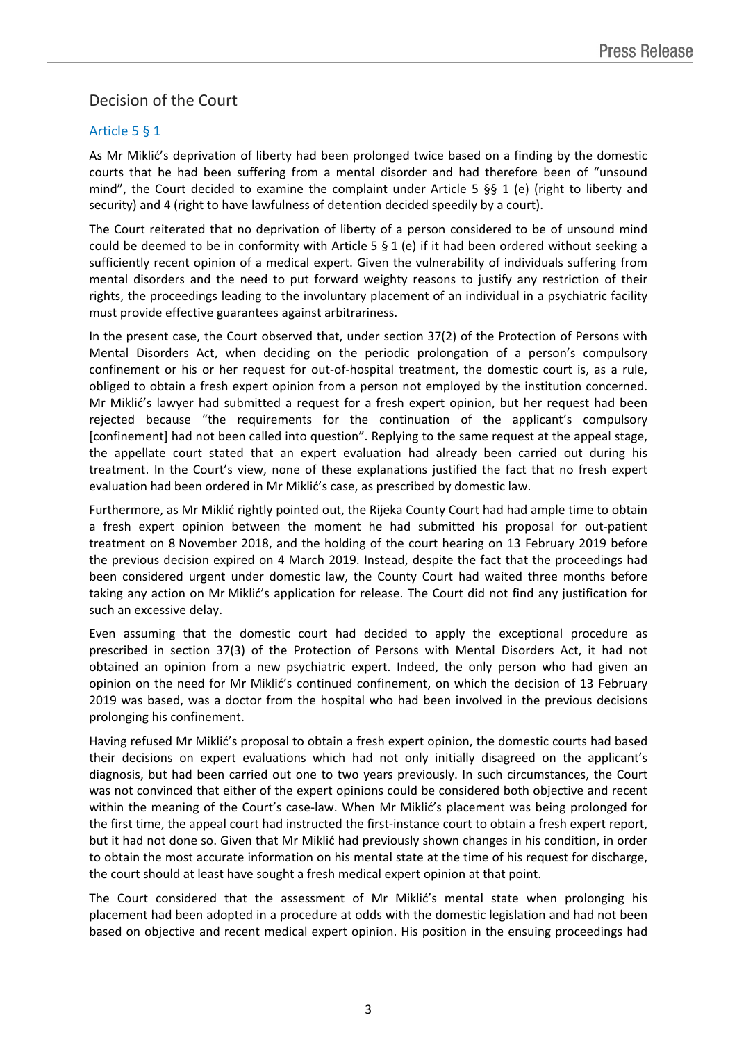# Decision of the Court

### Article 5 § 1

As Mr Miklić's deprivation of liberty had been prolonged twice based on a finding by the domestic courts that he had been suffering from a mental disorder and had therefore been of "unsound mind", the Court decided to examine the complaint under Article 5  $\S$  1 (e) (right to liberty and security) and 4 (right to have lawfulness of detention decided speedily by a court).

The Court reiterated that no deprivation of liberty of a person considered to be of unsound mind could be deemed to be in conformity with Article 5  $\S$  1 (e) if it had been ordered without seeking a sufficiently recent opinion of a medical expert. Given the vulnerability of individuals suffering from mental disorders and the need to put forward weighty reasons to justify any restriction of their rights, the proceedings leading to the involuntary placement of an individual in a psychiatric facility must provide effective guarantees against arbitrariness.

In the present case, the Court observed that, under section 37(2) of the Protection of Persons with Mental Disorders Act, when deciding on the periodic prolongation of a person's compulsory confinement or his or her request for out-of-hospital treatment, the domestic court is, as a rule, obliged to obtain a fresh expert opinion from a person not employed by the institution concerned. Mr Miklić's lawyer had submitted a request for a fresh expert opinion, but her request had been rejected because "the requirements for the continuation of the applicant's compulsory [confinement] had not been called into question". Replying to the same request at the appeal stage, the appellate court stated that an expert evaluation had already been carried out during his treatment. In the Court's view, none of these explanations justified the fact that no fresh expert evaluation had been ordered in Mr Miklić's case, as prescribed by domestic law.

Furthermore, as Mr Miklić rightly pointed out, the Rijeka County Court had had ample time to obtain a fresh expert opinion between the moment he had submitted his proposal for out-patient treatment on 8 November 2018, and the holding of the court hearing on 13 February 2019 before the previous decision expired on 4 March 2019. Instead, despite the fact that the proceedings had been considered urgent under domestic law, the County Court had waited three months before taking any action on Mr Miklić's application for release. The Court did not find any justification for such an excessive delay.

Even assuming that the domestic court had decided to apply the exceptional procedure as prescribed in section 37(3) of the Protection of Persons with Mental Disorders Act, it had not obtained an opinion from a new psychiatric expert. Indeed, the only person who had given an opinion on the need for Mr Miklić's continued confinement, on which the decision of 13 February 2019 was based, was a doctor from the hospital who had been involved in the previous decisions prolonging his confinement.

Having refused Mr Miklić's proposal to obtain a fresh expert opinion, the domestic courts had based their decisions on expert evaluations which had not only initially disagreed on the applicant's diagnosis, but had been carried out one to two years previously. In such circumstances, the Court was not convinced that either of the expert opinions could be considered both objective and recent within the meaning of the Court's case-law. When Mr Miklić's placement was being prolonged for the first time, the appeal court had instructed the first-instance court to obtain a fresh expert report, but it had not done so. Given that Mr Miklić had previously shown changes in his condition, in order to obtain the most accurate information on his mental state at the time of his request for discharge, the court should at least have sought a fresh medical expert opinion at that point.

The Court considered that the assessment of Mr Miklić's mental state when prolonging his placement had been adopted in a procedure at odds with the domestic legislation and had not been based on objective and recent medical expert opinion. His position in the ensuing proceedings had